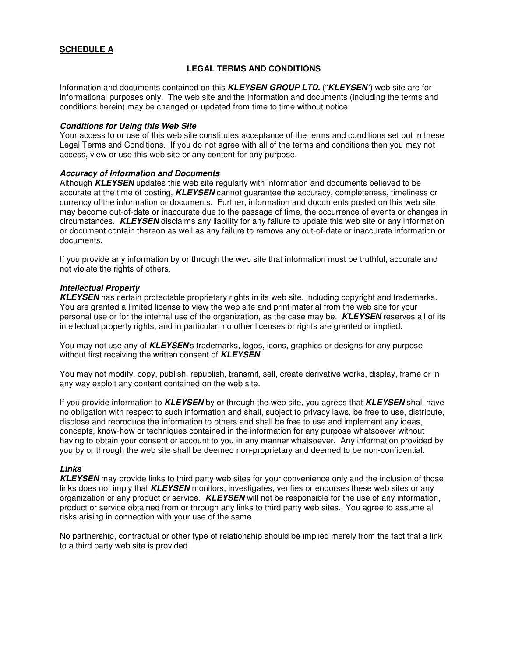# **SCHEDULE A**

## **LEGAL TERMS AND CONDITIONS**

Information and documents contained on this **KLEYSEN GROUP LTD.** ("**KLEYSEN**") web site are for informational purposes only. The web site and the information and documents (including the terms and conditions herein) may be changed or updated from time to time without notice.

#### **Conditions for Using this Web Site**

Your access to or use of this web site constitutes acceptance of the terms and conditions set out in these Legal Terms and Conditions. If you do not agree with all of the terms and conditions then you may not access, view or use this web site or any content for any purpose.

#### **Accuracy of Information and Documents**

Although **KLEYSEN** updates this web site regularly with information and documents believed to be accurate at the time of posting, **KLEYSEN** cannot guarantee the accuracy, completeness, timeliness or currency of the information or documents. Further, information and documents posted on this web site may become out-of-date or inaccurate due to the passage of time, the occurrence of events or changes in circumstances. **KLEYSEN** disclaims any liability for any failure to update this web site or any information or document contain thereon as well as any failure to remove any out-of-date or inaccurate information or documents.

If you provide any information by or through the web site that information must be truthful, accurate and not violate the rights of others.

#### **Intellectual Property**

**KLEYSEN** has certain protectable proprietary rights in its web site, including copyright and trademarks. You are granted a limited license to view the web site and print material from the web site for your personal use or for the internal use of the organization, as the case may be. **KLEYSEN** reserves all of its intellectual property rights, and in particular, no other licenses or rights are granted or implied.

You may not use any of **KLEYSEN**'s trademarks, logos, icons, graphics or designs for any purpose without first receiving the written consent of **KLEYSEN**.

You may not modify, copy, publish, republish, transmit, sell, create derivative works, display, frame or in any way exploit any content contained on the web site.

If you provide information to **KLEYSEN** by or through the web site, you agrees that **KLEYSEN** shall have no obligation with respect to such information and shall, subject to privacy laws, be free to use, distribute, disclose and reproduce the information to others and shall be free to use and implement any ideas, concepts, know-how or techniques contained in the information for any purpose whatsoever without having to obtain your consent or account to you in any manner whatsoever. Any information provided by you by or through the web site shall be deemed non-proprietary and deemed to be non-confidential.

#### **Links**

**KLEYSEN** may provide links to third party web sites for your convenience only and the inclusion of those links does not imply that **KLEYSEN** monitors, investigates, verifies or endorses these web sites or any organization or any product or service. **KLEYSEN** will not be responsible for the use of any information, product or service obtained from or through any links to third party web sites. You agree to assume all risks arising in connection with your use of the same.

No partnership, contractual or other type of relationship should be implied merely from the fact that a link to a third party web site is provided.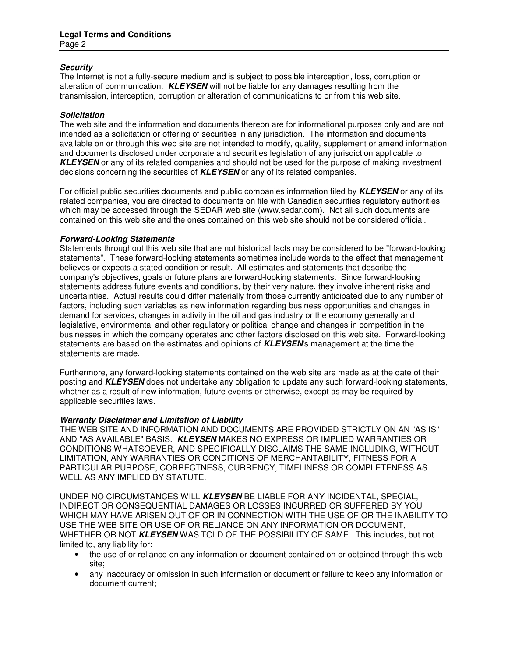## **Security**

The Internet is not a fully-secure medium and is subject to possible interception, loss, corruption or alteration of communication. **KLEYSEN** will not be liable for any damages resulting from the transmission, interception, corruption or alteration of communications to or from this web site.

### **Solicitation**

The web site and the information and documents thereon are for informational purposes only and are not intended as a solicitation or offering of securities in any jurisdiction. The information and documents available on or through this web site are not intended to modify, qualify, supplement or amend information and documents disclosed under corporate and securities legislation of any jurisdiction applicable to **KLEYSEN** or any of its related companies and should not be used for the purpose of making investment decisions concerning the securities of **KLEYSEN** or any of its related companies.

For official public securities documents and public companies information filed by **KLEYSEN** or any of its related companies, you are directed to documents on file with Canadian securities regulatory authorities which may be accessed through the SEDAR web site (www.sedar.com). Not all such documents are contained on this web site and the ones contained on this web site should not be considered official.

### **Forward-Looking Statements**

Statements throughout this web site that are not historical facts may be considered to be "forward-looking statements". These forward-looking statements sometimes include words to the effect that management believes or expects a stated condition or result. All estimates and statements that describe the company's objectives, goals or future plans are forward-looking statements. Since forward-looking statements address future events and conditions, by their very nature, they involve inherent risks and uncertainties. Actual results could differ materially from those currently anticipated due to any number of factors, including such variables as new information regarding business opportunities and changes in demand for services, changes in activity in the oil and gas industry or the economy generally and legislative, environmental and other regulatory or political change and changes in competition in the businesses in which the company operates and other factors disclosed on this web site. Forward-looking statements are based on the estimates and opinions of **KLEYSEN**'s management at the time the statements are made.

Furthermore, any forward-looking statements contained on the web site are made as at the date of their posting and **KLEYSEN** does not undertake any obligation to update any such forward-looking statements, whether as a result of new information, future events or otherwise, except as may be required by applicable securities laws.

#### **Warranty Disclaimer and Limitation of Liability**

THE WEB SITE AND INFORMATION AND DOCUMENTS ARE PROVIDED STRICTLY ON AN "AS IS" AND "AS AVAILABLE" BASIS. **KLEYSEN** MAKES NO EXPRESS OR IMPLIED WARRANTIES OR CONDITIONS WHATSOEVER, AND SPECIFICALLY DISCLAIMS THE SAME INCLUDING, WITHOUT LIMITATION, ANY WARRANTIES OR CONDITIONS OF MERCHANTABILITY, FITNESS FOR A PARTICULAR PURPOSE, CORRECTNESS, CURRENCY, TIMELINESS OR COMPLETENESS AS WELL AS ANY IMPLIED BY STATUTE.

UNDER NO CIRCUMSTANCES WILL **KLEYSEN** BE LIABLE FOR ANY INCIDENTAL, SPECIAL, INDIRECT OR CONSEQUENTIAL DAMAGES OR LOSSES INCURRED OR SUFFERED BY YOU WHICH MAY HAVE ARISEN OUT OF OR IN CONNECTION WITH THE USE OF OR THE INABILITY TO USE THE WEB SITE OR USE OF OR RELIANCE ON ANY INFORMATION OR DOCUMENT, WHETHER OR NOT **KLEYSEN** WAS TOLD OF THE POSSIBILITY OF SAME. This includes, but not limited to, any liability for:

- the use of or reliance on any information or document contained on or obtained through this web site;
- any inaccuracy or omission in such information or document or failure to keep any information or document current;